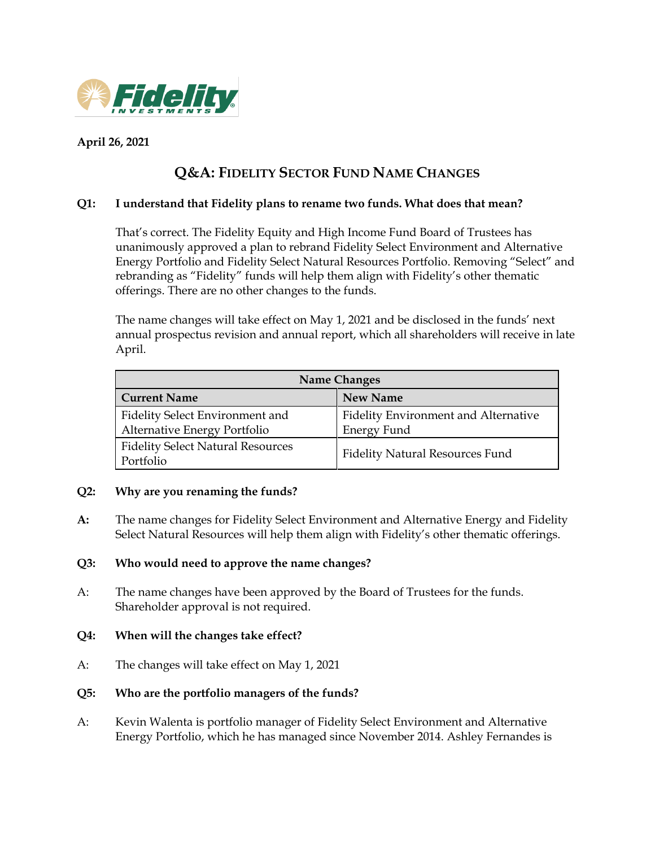

## **April 26, 2021**

# **Q&A: FIDELITY SECTOR FUND NAME CHANGES**

## **Q1: I understand that Fidelity plans to rename two funds. What does that mean?**

That's correct. The Fidelity Equity and High Income Fund Board of Trustees has unanimously approved a plan to rebrand Fidelity Select Environment and Alternative Energy Portfolio and Fidelity Select Natural Resources Portfolio. Removing "Select" and rebranding as "Fidelity" funds will help them align with Fidelity's other thematic offerings. There are no other changes to the funds.

The name changes will take effect on May 1, 2021 and be disclosed in the funds' next annual prospectus revision and annual report, which all shareholders will receive in late April.

| <b>Name Changes</b>                                             |                                                     |  |
|-----------------------------------------------------------------|-----------------------------------------------------|--|
| <b>Current Name</b>                                             | <b>New Name</b>                                     |  |
| Fidelity Select Environment and<br>Alternative Energy Portfolio | Fidelity Environment and Alternative<br>Energy Fund |  |
| <b>Fidelity Select Natural Resources</b><br>Portfolio           | <b>Fidelity Natural Resources Fund</b>              |  |

#### **Q2: Why are you renaming the funds?**

**A:** The name changes for Fidelity Select Environment and Alternative Energy and Fidelity Select Natural Resources will help them align with Fidelity's other thematic offerings.

#### **Q3: Who would need to approve the name changes?**

A: The name changes have been approved by the Board of Trustees for the funds. Shareholder approval is not required.

## **Q4: When will the changes take effect?**

A: The changes will take effect on May 1, 2021

## **Q5: Who are the portfolio managers of the funds?**

A: Kevin Walenta is portfolio manager of Fidelity Select Environment and Alternative Energy Portfolio, which he has managed since November 2014. Ashley Fernandes is